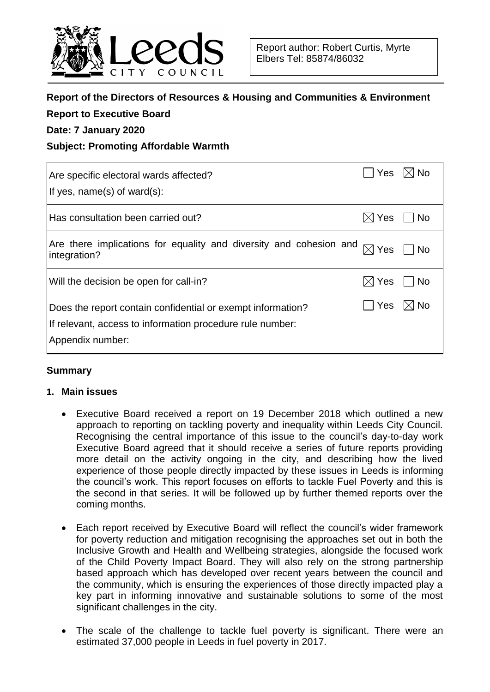

## **Report of the Directors of Resources & Housing and Communities & Environment**

| <b>Report to Executive Board</b><br>Date: 7 January 2020                                                                 |                 |                |
|--------------------------------------------------------------------------------------------------------------------------|-----------------|----------------|
|                                                                                                                          |                 |                |
| Are specific electoral wards affected?                                                                                   | Yes             | $\boxtimes$ No |
| If yes, name(s) of ward(s):                                                                                              |                 |                |
| Has consultation been carried out?                                                                                       | $\boxtimes$ Yes | <b>No</b>      |
| Are there implications for equality and diversity and cohesion and<br>integration?                                       | $\boxtimes$ Yes | <b>No</b>      |
| Will the decision be open for call-in?                                                                                   | $\boxtimes$ Yes | <b>No</b>      |
| Does the report contain confidential or exempt information?<br>If relevant, access to information procedure rule number: | <b>Yes</b>      | <b>No</b>      |
|                                                                                                                          |                 |                |

Appendix number:

### **Summary**

#### **1. Main issues**

- Executive Board received a report on 19 December 2018 which outlined a new approach to reporting on tackling poverty and inequality within Leeds City Council. Recognising the central importance of this issue to the council's day-to-day work Executive Board agreed that it should receive a series of future reports providing more detail on the activity ongoing in the city, and describing how the lived experience of those people directly impacted by these issues in Leeds is informing the council's work. This report focuses on efforts to tackle Fuel Poverty and this is the second in that series. It will be followed up by further themed reports over the coming months.
- Each report received by Executive Board will reflect the council's wider framework for poverty reduction and mitigation recognising the approaches set out in both the Inclusive Growth and Health and Wellbeing strategies, alongside the focused work of the Child Poverty Impact Board. They will also rely on the strong partnership based approach which has developed over recent years between the council and the community, which is ensuring the experiences of those directly impacted play a key part in informing innovative and sustainable solutions to some of the most significant challenges in the city.
- The scale of the challenge to tackle fuel poverty is significant. There were an estimated 37,000 people in Leeds in fuel poverty in 2017.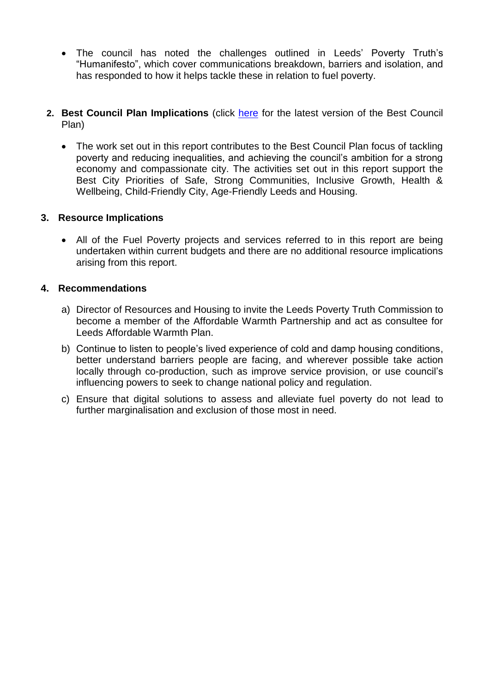- The council has noted the challenges outlined in Leeds' Poverty Truth's "Humanifesto", which cover communications breakdown, barriers and isolation, and has responded to how it helps tackle these in relation to fuel poverty.
- **2. Best Council Plan Implications** (click [here](https://www.leeds.gov.uk/your-council/plans-and-strategies/council-plans) for the latest version of the Best Council Plan)
	- The work set out in this report contributes to the Best Council Plan focus of tackling poverty and reducing inequalities, and achieving the council's ambition for a strong economy and compassionate city. The activities set out in this report support the Best City Priorities of Safe, Strong Communities, Inclusive Growth, Health & Wellbeing, Child-Friendly City, Age-Friendly Leeds and Housing.

### **3. Resource Implications**

• All of the Fuel Poverty projects and services referred to in this report are being undertaken within current budgets and there are no additional resource implications arising from this report.

### **4. Recommendations**

- a) Director of Resources and Housing to invite the Leeds Poverty Truth Commission to become a member of the Affordable Warmth Partnership and act as consultee for Leeds Affordable Warmth Plan.
- b) Continue to listen to people's lived experience of cold and damp housing conditions, better understand barriers people are facing, and wherever possible take action locally through co-production, such as improve service provision, or use council's influencing powers to seek to change national policy and regulation.
- c) Ensure that digital solutions to assess and alleviate fuel poverty do not lead to further marginalisation and exclusion of those most in need.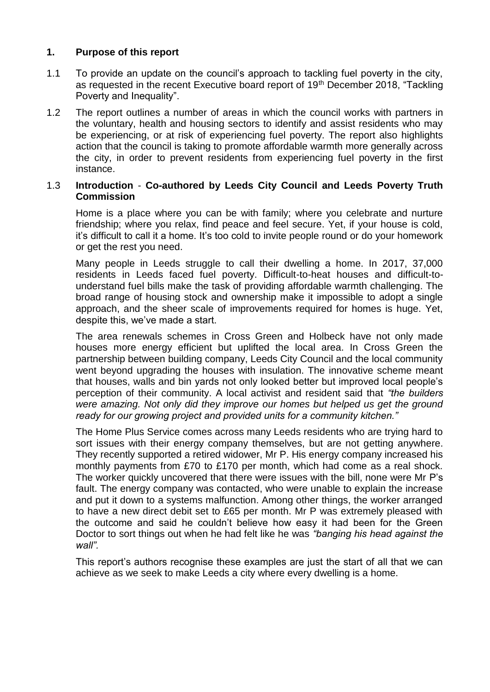## **1. Purpose of this report**

- 1.1 To provide an update on the council's approach to tackling fuel poverty in the city, as requested in the recent Executive board report of 19<sup>th</sup> December 2018, "Tackling Poverty and Inequality".
- 1.2 The report outlines a number of areas in which the council works with partners in the voluntary, health and housing sectors to identify and assist residents who may be experiencing, or at risk of experiencing fuel poverty. The report also highlights action that the council is taking to promote affordable warmth more generally across the city, in order to prevent residents from experiencing fuel poverty in the first instance.

## 1.3 **Introduction** - **Co-authored by Leeds City Council and Leeds Poverty Truth Commission**

Home is a place where you can be with family; where you celebrate and nurture friendship; where you relax, find peace and feel secure. Yet, if your house is cold, it's difficult to call it a home. It's too cold to invite people round or do your homework or get the rest you need.

Many people in Leeds struggle to call their dwelling a home. In 2017, 37,000 residents in Leeds faced fuel poverty. Difficult-to-heat houses and difficult-tounderstand fuel bills make the task of providing affordable warmth challenging. The broad range of housing stock and ownership make it impossible to adopt a single approach, and the sheer scale of improvements required for homes is huge. Yet, despite this, we've made a start.

The area renewals schemes in Cross Green and Holbeck have not only made houses more energy efficient but uplifted the local area. In Cross Green the partnership between building company, Leeds City Council and the local community went beyond upgrading the houses with insulation. The innovative scheme meant that houses, walls and bin yards not only looked better but improved local people's perception of their community. A local activist and resident said that *"the builders were amazing. Not only did they improve our homes but helped us get the ground ready for our growing project and provided units for a community kitchen."*

The Home Plus Service comes across many Leeds residents who are trying hard to sort issues with their energy company themselves, but are not getting anywhere. They recently supported a retired widower, Mr P. His energy company increased his monthly payments from £70 to £170 per month, which had come as a real shock. The worker quickly uncovered that there were issues with the bill, none were Mr P's fault. The energy company was contacted, who were unable to explain the increase and put it down to a systems malfunction. Among other things, the worker arranged to have a new direct debit set to £65 per month. Mr P was extremely pleased with the outcome and said he couldn't believe how easy it had been for the Green Doctor to sort things out when he had felt like he was *"banging his head against the wall".*

This report's authors recognise these examples are just the start of all that we can achieve as we seek to make Leeds a city where every dwelling is a home.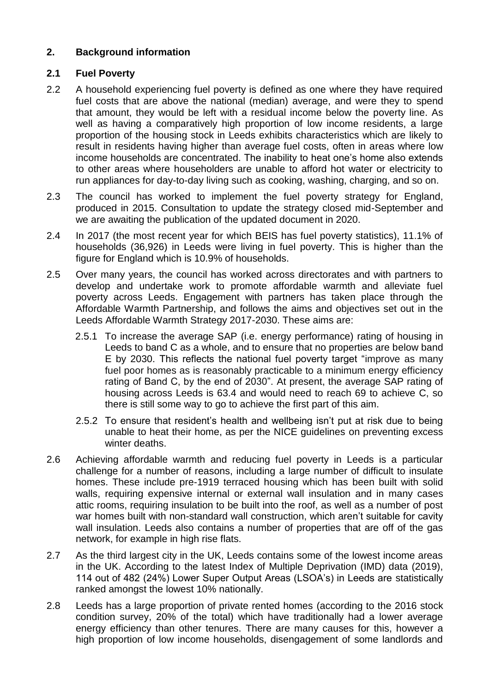# **2. Background information**

# **2.1 Fuel Poverty**

- 2.2 A household experiencing fuel poverty is defined as one where they have required fuel costs that are above the national (median) average, and were they to spend that amount, they would be left with a residual income below the poverty line. As well as having a comparatively high proportion of low income residents, a large proportion of the housing stock in Leeds exhibits characteristics which are likely to result in residents having higher than average fuel costs, often in areas where low income households are concentrated. The inability to heat one's home also extends to other areas where householders are unable to afford hot water or electricity to run appliances for day-to-day living such as cooking, washing, charging, and so on.
- 2.3 The council has worked to implement the fuel poverty strategy for England, produced in 2015. Consultation to update the strategy closed mid-September and we are awaiting the publication of the updated document in 2020.
- 2.4 In 2017 (the most recent year for which BEIS has fuel poverty statistics), 11.1% of households (36,926) in Leeds were living in fuel poverty. This is higher than the figure for England which is 10.9% of households.
- 2.5 Over many years, the council has worked across directorates and with partners to develop and undertake work to promote affordable warmth and alleviate fuel poverty across Leeds. Engagement with partners has taken place through the Affordable Warmth Partnership, and follows the aims and objectives set out in the Leeds Affordable Warmth Strategy 2017-2030. These aims are:
	- 2.5.1 To increase the average SAP (i.e. energy performance) rating of housing in Leeds to band C as a whole, and to ensure that no properties are below band E by 2030. This reflects the national fuel poverty target "improve as many fuel poor homes as is reasonably practicable to a minimum energy efficiency rating of Band C, by the end of 2030". At present, the average SAP rating of housing across Leeds is 63.4 and would need to reach 69 to achieve C, so there is still some way to go to achieve the first part of this aim.
	- 2.5.2 To ensure that resident's health and wellbeing isn't put at risk due to being unable to heat their home, as per the NICE guidelines on preventing excess winter deaths.
- 2.6 Achieving affordable warmth and reducing fuel poverty in Leeds is a particular challenge for a number of reasons, including a large number of difficult to insulate homes. These include pre-1919 terraced housing which has been built with solid walls, requiring expensive internal or external wall insulation and in many cases attic rooms, requiring insulation to be built into the roof, as well as a number of post war homes built with non-standard wall construction, which aren't suitable for cavity wall insulation. Leeds also contains a number of properties that are off of the gas network, for example in high rise flats.
- 2.7 As the third largest city in the UK, Leeds contains some of the lowest income areas in the UK. According to the latest Index of Multiple Deprivation (IMD) data (2019), 114 out of 482 (24%) Lower Super Output Areas (LSOA's) in Leeds are statistically ranked amongst the lowest 10% nationally.
- 2.8 Leeds has a large proportion of private rented homes (according to the 2016 stock condition survey, 20% of the total) which have traditionally had a lower average energy efficiency than other tenures. There are many causes for this, however a high proportion of low income households, disengagement of some landlords and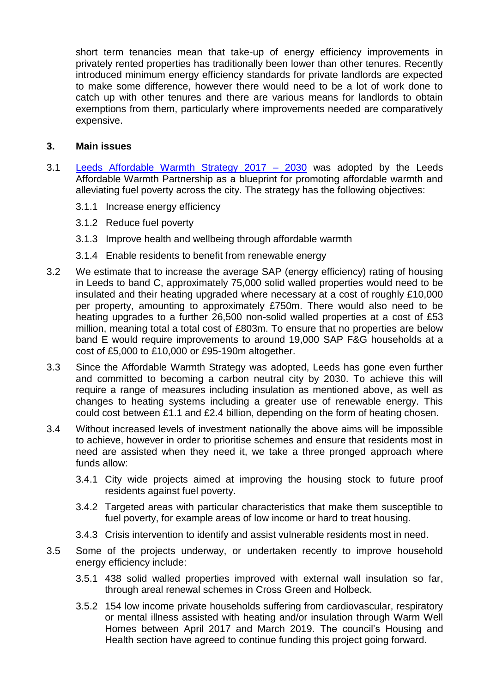short term tenancies mean that take-up of energy efficiency improvements in privately rented properties has traditionally been lower than other tenures. Recently introduced minimum energy efficiency standards for private landlords are expected to make some difference, however there would need to be a lot of work done to catch up with other tenures and there are various means for landlords to obtain exemptions from them, particularly where improvements needed are comparatively expensive.

### **3. Main issues**

- 3.1 [Leeds Affordable Warmth Strategy 2017 –](https://www.leeds.gov.uk/docs/Leeds%20Affordable%20Warmth%20Strategy%202017%20-%202030.pdf) 2030 was adopted by the Leeds Affordable Warmth Partnership as a blueprint for promoting affordable warmth and alleviating fuel poverty across the city. The strategy has the following objectives:
	- 3.1.1 Increase energy efficiency
	- 3.1.2 Reduce fuel poverty
	- 3.1.3 Improve health and wellbeing through affordable warmth
	- 3.1.4 Enable residents to benefit from renewable energy
- 3.2 We estimate that to increase the average SAP (energy efficiency) rating of housing in Leeds to band C, approximately 75,000 solid walled properties would need to be insulated and their heating upgraded where necessary at a cost of roughly £10,000 per property, amounting to approximately £750m. There would also need to be heating upgrades to a further 26,500 non-solid walled properties at a cost of £53 million, meaning total a total cost of £803m. To ensure that no properties are below band E would require improvements to around 19,000 SAP F&G households at a cost of £5,000 to £10,000 or £95-190m altogether.
- 3.3 Since the Affordable Warmth Strategy was adopted, Leeds has gone even further and committed to becoming a carbon neutral city by 2030. To achieve this will require a range of measures including insulation as mentioned above, as well as changes to heating systems including a greater use of renewable energy. This could cost between £1.1 and £2.4 billion, depending on the form of heating chosen.
- 3.4 Without increased levels of investment nationally the above aims will be impossible to achieve, however in order to prioritise schemes and ensure that residents most in need are assisted when they need it, we take a three pronged approach where funds allow:
	- 3.4.1 City wide projects aimed at improving the housing stock to future proof residents against fuel poverty.
	- 3.4.2 Targeted areas with particular characteristics that make them susceptible to fuel poverty, for example areas of low income or hard to treat housing.
	- 3.4.3 Crisis intervention to identify and assist vulnerable residents most in need.
- 3.5 Some of the projects underway, or undertaken recently to improve household energy efficiency include:
	- 3.5.1 438 solid walled properties improved with external wall insulation so far, through areal renewal schemes in Cross Green and Holbeck.
	- 3.5.2 154 low income private households suffering from cardiovascular, respiratory or mental illness assisted with heating and/or insulation through Warm Well Homes between April 2017 and March 2019. The council's Housing and Health section have agreed to continue funding this project going forward.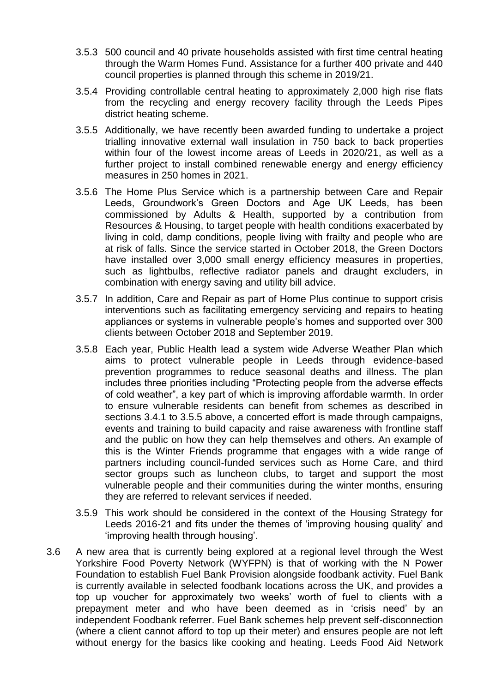- 3.5.3 500 council and 40 private households assisted with first time central heating through the Warm Homes Fund. Assistance for a further 400 private and 440 council properties is planned through this scheme in 2019/21.
- 3.5.4 Providing controllable central heating to approximately 2,000 high rise flats from the recycling and energy recovery facility through the Leeds Pipes district heating scheme.
- 3.5.5 Additionally, we have recently been awarded funding to undertake a project trialling innovative external wall insulation in 750 back to back properties within four of the lowest income areas of Leeds in 2020/21, as well as a further project to install combined renewable energy and energy efficiency measures in 250 homes in 2021.
- 3.5.6 The Home Plus Service which is a partnership between Care and Repair Leeds, Groundwork's Green Doctors and Age UK Leeds, has been commissioned by Adults & Health, supported by a contribution from Resources & Housing, to target people with health conditions exacerbated by living in cold, damp conditions, people living with frailty and people who are at risk of falls. Since the service started in October 2018, the Green Doctors have installed over 3,000 small energy efficiency measures in properties, such as lightbulbs, reflective radiator panels and draught excluders, in combination with energy saving and utility bill advice.
- 3.5.7 In addition, Care and Repair as part of Home Plus continue to support crisis interventions such as facilitating emergency servicing and repairs to heating appliances or systems in vulnerable people's homes and supported over 300 clients between October 2018 and September 2019.
- 3.5.8 Each year, Public Health lead a system wide Adverse Weather Plan which aims to protect vulnerable people in Leeds through evidence-based prevention programmes to reduce seasonal deaths and illness. The plan includes three priorities including "Protecting people from the adverse effects of cold weather", a key part of which is improving affordable warmth. In order to ensure vulnerable residents can benefit from schemes as described in sections 3.4.1 to 3.5.5 above, a concerted effort is made through campaigns, events and training to build capacity and raise awareness with frontline staff and the public on how they can help themselves and others. An example of this is the Winter Friends programme that engages with a wide range of partners including council-funded services such as Home Care, and third sector groups such as luncheon clubs, to target and support the most vulnerable people and their communities during the winter months, ensuring they are referred to relevant services if needed.
- 3.5.9 This work should be considered in the context of the Housing Strategy for Leeds 2016-21 and fits under the themes of 'improving housing quality' and 'improving health through housing'.
- 3.6 A new area that is currently being explored at a regional level through the West Yorkshire Food Poverty Network (WYFPN) is that of working with the N Power Foundation to establish Fuel Bank Provision alongside foodbank activity. Fuel Bank is currently available in selected foodbank locations across the UK, and provides a top up voucher for approximately two weeks' worth of fuel to clients with a prepayment meter and who have been deemed as in 'crisis need' by an independent Foodbank referrer. Fuel Bank schemes help prevent self-disconnection (where a client cannot afford to top up their meter) and ensures people are not left without energy for the basics like cooking and heating. Leeds Food Aid Network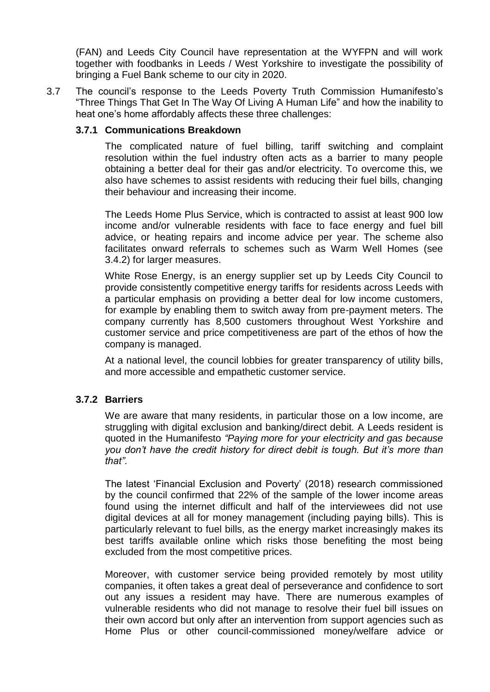(FAN) and Leeds City Council have representation at the WYFPN and will work together with foodbanks in Leeds / West Yorkshire to investigate the possibility of bringing a Fuel Bank scheme to our city in 2020.

3.7 The council's response to the Leeds Poverty Truth Commission Humanifesto's "Three Things That Get In The Way Of Living A Human Life" and how the inability to heat one's home affordably affects these three challenges:

#### **3.7.1 Communications Breakdown**

The complicated nature of fuel billing, tariff switching and complaint resolution within the fuel industry often acts as a barrier to many people obtaining a better deal for their gas and/or electricity. To overcome this, we also have schemes to assist residents with reducing their fuel bills, changing their behaviour and increasing their income.

The Leeds Home Plus Service, which is contracted to assist at least 900 low income and/or vulnerable residents with face to face energy and fuel bill advice, or heating repairs and income advice per year. The scheme also facilitates onward referrals to schemes such as Warm Well Homes (see 3.4.2) for larger measures.

White Rose Energy, is an energy supplier set up by Leeds City Council to provide consistently competitive energy tariffs for residents across Leeds with a particular emphasis on providing a better deal for low income customers, for example by enabling them to switch away from pre-payment meters. The company currently has 8,500 customers throughout West Yorkshire and customer service and price competitiveness are part of the ethos of how the company is managed.

At a national level, the council lobbies for greater transparency of utility bills, and more accessible and empathetic customer service.

### **3.7.2 Barriers**

We are aware that many residents, in particular those on a low income, are struggling with digital exclusion and banking/direct debit. A Leeds resident is quoted in the Humanifesto *"Paying more for your electricity and gas because you don't have the credit history for direct debit is tough. But it's more than that".*

The latest 'Financial Exclusion and Poverty' (2018) research commissioned by the council confirmed that 22% of the sample of the lower income areas found using the internet difficult and half of the interviewees did not use digital devices at all for money management (including paying bills). This is particularly relevant to fuel bills, as the energy market increasingly makes its best tariffs available online which risks those benefiting the most being excluded from the most competitive prices.

Moreover, with customer service being provided remotely by most utility companies, it often takes a great deal of perseverance and confidence to sort out any issues a resident may have. There are numerous examples of vulnerable residents who did not manage to resolve their fuel bill issues on their own accord but only after an intervention from support agencies such as Home Plus or other council-commissioned money/welfare advice or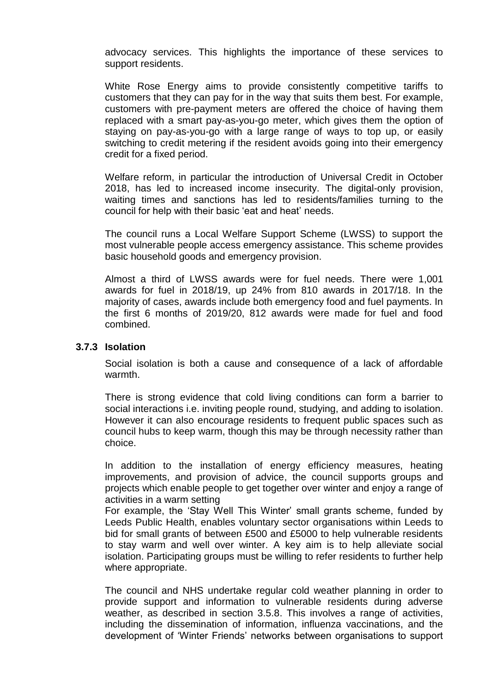advocacy services. This highlights the importance of these services to support residents.

White Rose Energy aims to provide consistently competitive tariffs to customers that they can pay for in the way that suits them best. For example, customers with pre-payment meters are offered the choice of having them replaced with a smart pay-as-you-go meter, which gives them the option of staying on pay-as-you-go with a large range of ways to top up, or easily switching to credit metering if the resident avoids going into their emergency credit for a fixed period.

Welfare reform, in particular the introduction of Universal Credit in October 2018, has led to increased income insecurity. The digital-only provision, waiting times and sanctions has led to residents/families turning to the council for help with their basic 'eat and heat' needs.

The council runs a Local Welfare Support Scheme (LWSS) to support the most vulnerable people access emergency assistance. This scheme provides basic household goods and emergency provision.

Almost a third of LWSS awards were for fuel needs. There were 1,001 awards for fuel in 2018/19, up 24% from 810 awards in 2017/18. In the majority of cases, awards include both emergency food and fuel payments. In the first 6 months of 2019/20, 812 awards were made for fuel and food combined.

#### **3.7.3 Isolation**

Social isolation is both a cause and consequence of a lack of affordable warmth.

There is strong evidence that cold living conditions can form a barrier to social interactions i.e. inviting people round, studying, and adding to isolation. However it can also encourage residents to frequent public spaces such as council hubs to keep warm, though this may be through necessity rather than choice.

In addition to the installation of energy efficiency measures, heating improvements, and provision of advice, the council supports groups and projects which enable people to get together over winter and enjoy a range of activities in a warm setting

For example, the 'Stay Well This Winter' small grants scheme, funded by Leeds Public Health, enables voluntary sector organisations within Leeds to bid for small grants of between £500 and £5000 to help vulnerable residents to stay warm and well over winter. A key aim is to help alleviate social isolation. Participating groups must be willing to refer residents to further help where appropriate.

The council and NHS undertake regular cold weather planning in order to provide support and information to vulnerable residents during adverse weather, as described in section 3.5.8. This involves a range of activities, including the dissemination of information, influenza vaccinations, and the development of 'Winter Friends' networks between organisations to support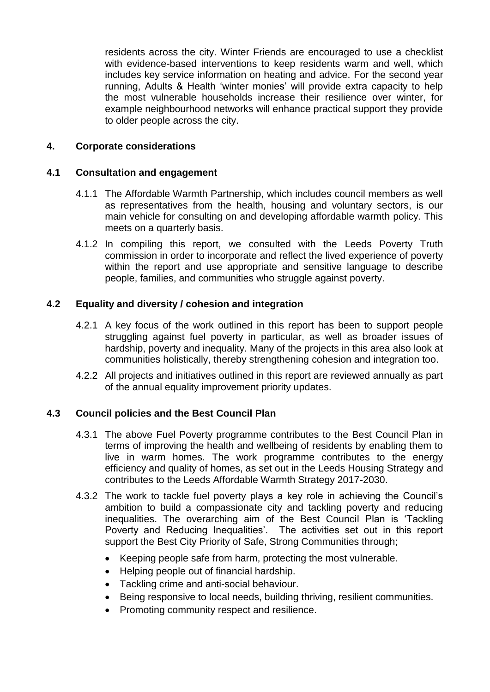residents across the city. Winter Friends are encouraged to use a checklist with evidence-based interventions to keep residents warm and well, which includes key service information on heating and advice. For the second year running, Adults & Health 'winter monies' will provide extra capacity to help the most vulnerable households increase their resilience over winter, for example neighbourhood networks will enhance practical support they provide to older people across the city.

## **4. Corporate considerations**

### **4.1 Consultation and engagement**

- 4.1.1 The Affordable Warmth Partnership, which includes council members as well as representatives from the health, housing and voluntary sectors, is our main vehicle for consulting on and developing affordable warmth policy. This meets on a quarterly basis.
- 4.1.2 In compiling this report, we consulted with the Leeds Poverty Truth commission in order to incorporate and reflect the lived experience of poverty within the report and use appropriate and sensitive language to describe people, families, and communities who struggle against poverty.

## **4.2 Equality and diversity / cohesion and integration**

- 4.2.1 A key focus of the work outlined in this report has been to support people struggling against fuel poverty in particular, as well as broader issues of hardship, poverty and inequality. Many of the projects in this area also look at communities holistically, thereby strengthening cohesion and integration too.
- 4.2.2 All projects and initiatives outlined in this report are reviewed annually as part of the annual equality improvement priority updates.

# **4.3 Council policies and the Best Council Plan**

- 4.3.1 The above Fuel Poverty programme contributes to the Best Council Plan in terms of improving the health and wellbeing of residents by enabling them to live in warm homes. The work programme contributes to the energy efficiency and quality of homes, as set out in the Leeds Housing Strategy and contributes to the Leeds Affordable Warmth Strategy 2017-2030.
- 4.3.2 The work to tackle fuel poverty plays a key role in achieving the Council's ambition to build a compassionate city and tackling poverty and reducing inequalities. The overarching aim of the Best Council Plan is 'Tackling Poverty and Reducing Inequalities'. The activities set out in this report support the Best City Priority of Safe, Strong Communities through;
	- Keeping people safe from harm, protecting the most vulnerable.
	- Helping people out of financial hardship.
	- Tackling crime and anti-social behaviour.
	- Being responsive to local needs, building thriving, resilient communities.
	- Promoting community respect and resilience.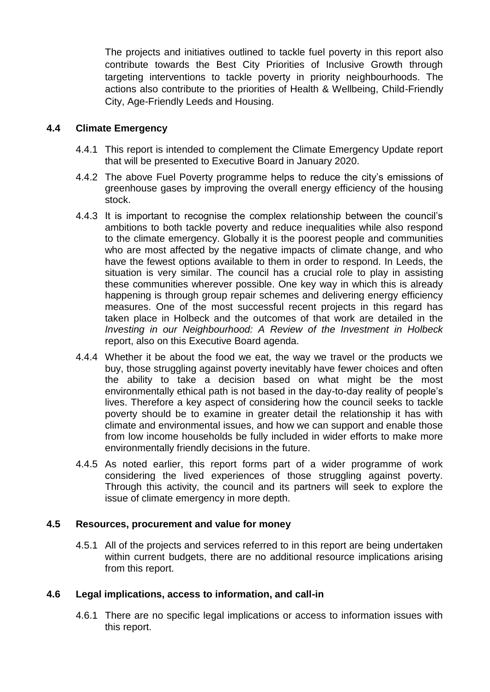The projects and initiatives outlined to tackle fuel poverty in this report also contribute towards the Best City Priorities of Inclusive Growth through targeting interventions to tackle poverty in priority neighbourhoods. The actions also contribute to the priorities of Health & Wellbeing, Child-Friendly City, Age-Friendly Leeds and Housing.

# **4.4 Climate Emergency**

- 4.4.1 This report is intended to complement the Climate Emergency Update report that will be presented to Executive Board in January 2020.
- 4.4.2 The above Fuel Poverty programme helps to reduce the city's emissions of greenhouse gases by improving the overall energy efficiency of the housing stock.
- 4.4.3 It is important to recognise the complex relationship between the council's ambitions to both tackle poverty and reduce inequalities while also respond to the climate emergency. Globally it is the poorest people and communities who are most affected by the negative impacts of climate change, and who have the fewest options available to them in order to respond. In Leeds, the situation is very similar. The council has a crucial role to play in assisting these communities wherever possible. One key way in which this is already happening is through group repair schemes and delivering energy efficiency measures. One of the most successful recent projects in this regard has taken place in Holbeck and the outcomes of that work are detailed in the *Investing in our Neighbourhood: A Review of the Investment in Holbeck* report, also on this Executive Board agenda.
- 4.4.4 Whether it be about the food we eat, the way we travel or the products we buy, those struggling against poverty inevitably have fewer choices and often the ability to take a decision based on what might be the most environmentally ethical path is not based in the day-to-day reality of people's lives. Therefore a key aspect of considering how the council seeks to tackle poverty should be to examine in greater detail the relationship it has with climate and environmental issues, and how we can support and enable those from low income households be fully included in wider efforts to make more environmentally friendly decisions in the future.
- 4.4.5 As noted earlier, this report forms part of a wider programme of work considering the lived experiences of those struggling against poverty. Through this activity, the council and its partners will seek to explore the issue of climate emergency in more depth.

### **4.5 Resources, procurement and value for money**

4.5.1 All of the projects and services referred to in this report are being undertaken within current budgets, there are no additional resource implications arising from this report.

# **4.6 Legal implications, access to information, and call-in**

4.6.1 There are no specific legal implications or access to information issues with this report.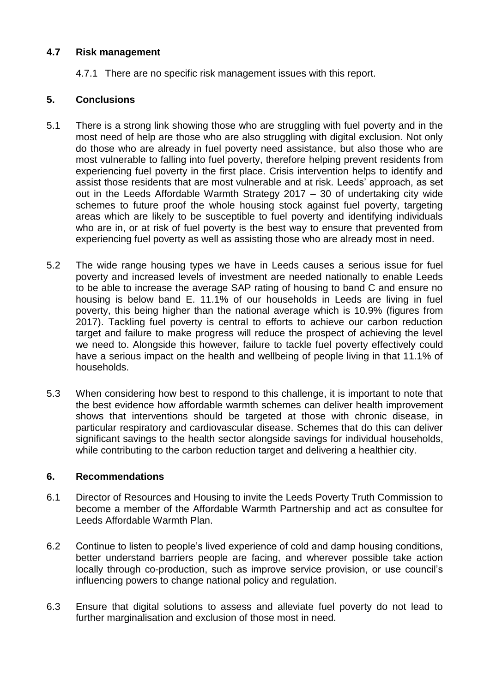# **4.7 Risk management**

4.7.1 There are no specific risk management issues with this report.

# **5. Conclusions**

- 5.1 There is a strong link showing those who are struggling with fuel poverty and in the most need of help are those who are also struggling with digital exclusion. Not only do those who are already in fuel poverty need assistance, but also those who are most vulnerable to falling into fuel poverty, therefore helping prevent residents from experiencing fuel poverty in the first place. Crisis intervention helps to identify and assist those residents that are most vulnerable and at risk. Leeds' approach, as set out in the Leeds Affordable Warmth Strategy 2017 – 30 of undertaking city wide schemes to future proof the whole housing stock against fuel poverty, targeting areas which are likely to be susceptible to fuel poverty and identifying individuals who are in, or at risk of fuel poverty is the best way to ensure that prevented from experiencing fuel poverty as well as assisting those who are already most in need.
- 5.2 The wide range housing types we have in Leeds causes a serious issue for fuel poverty and increased levels of investment are needed nationally to enable Leeds to be able to increase the average SAP rating of housing to band C and ensure no housing is below band E. 11.1% of our households in Leeds are living in fuel poverty, this being higher than the national average which is 10.9% (figures from 2017). Tackling fuel poverty is central to efforts to achieve our carbon reduction target and failure to make progress will reduce the prospect of achieving the level we need to. Alongside this however, failure to tackle fuel poverty effectively could have a serious impact on the health and wellbeing of people living in that 11.1% of households.
- 5.3 When considering how best to respond to this challenge, it is important to note that the best evidence how affordable warmth schemes can deliver health improvement shows that interventions should be targeted at those with chronic disease, in particular respiratory and cardiovascular disease. Schemes that do this can deliver significant savings to the health sector alongside savings for individual households, while contributing to the carbon reduction target and delivering a healthier city.

### **6. Recommendations**

- 6.1 Director of Resources and Housing to invite the Leeds Poverty Truth Commission to become a member of the Affordable Warmth Partnership and act as consultee for Leeds Affordable Warmth Plan.
- 6.2 Continue to listen to people's lived experience of cold and damp housing conditions, better understand barriers people are facing, and wherever possible take action locally through co-production, such as improve service provision, or use council's influencing powers to change national policy and regulation.
- 6.3 Ensure that digital solutions to assess and alleviate fuel poverty do not lead to further marginalisation and exclusion of those most in need.